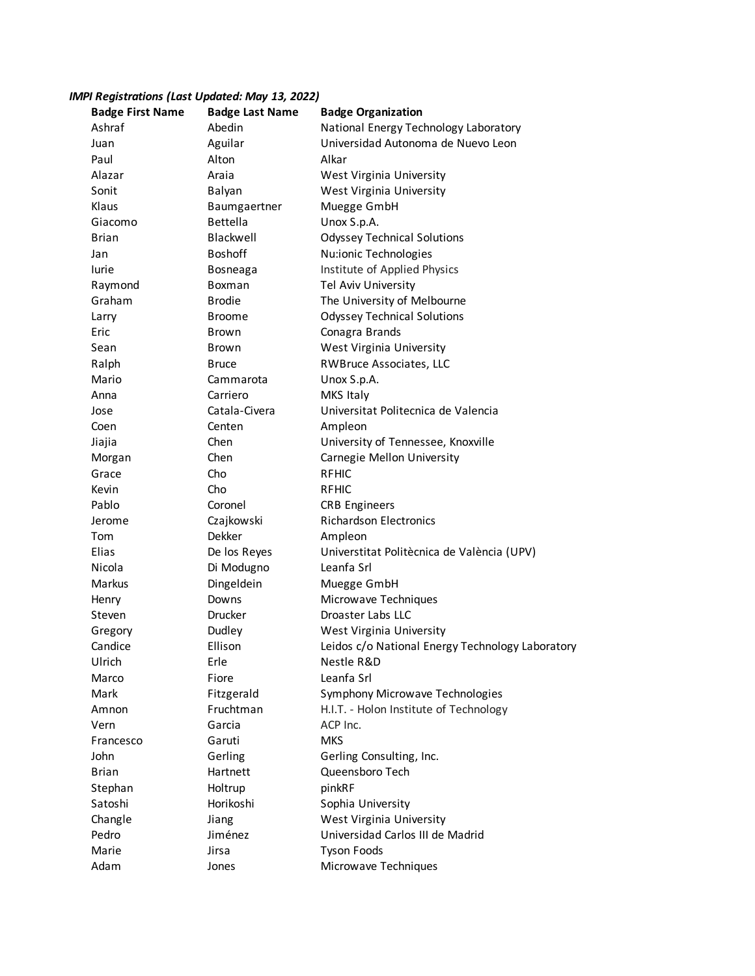## *IMPI Registrations (Last Updated: May 13, 2022)*

| <b>Badge First Name</b> | <b>Badge Last Name</b> | <b>Badge Organization</b>                        |
|-------------------------|------------------------|--------------------------------------------------|
| Ashraf                  | Abedin                 | National Energy Technology Laboratory            |
| Juan                    | Aguilar                | Universidad Autonoma de Nuevo Leon               |
| Paul                    | Alton                  | Alkar                                            |
| Alazar                  | Araia                  | West Virginia University                         |
| Sonit                   | Balyan                 | West Virginia University                         |
| Klaus                   | Baumgaertner           | Muegge GmbH                                      |
| Giacomo                 | <b>Bettella</b>        | Unox S.p.A.                                      |
| <b>Brian</b>            | Blackwell              | <b>Odyssey Technical Solutions</b>               |
| Jan                     | <b>Boshoff</b>         | Nu:ionic Technologies                            |
| lurie                   | Bosneaga               | Institute of Applied Physics                     |
| Raymond                 | Boxman                 | Tel Aviv University                              |
| Graham                  | <b>Brodie</b>          | The University of Melbourne                      |
| Larry                   | <b>Broome</b>          | <b>Odyssey Technical Solutions</b>               |
| Eric                    | Brown                  | Conagra Brands                                   |
| Sean                    | Brown                  | West Virginia University                         |
| Ralph                   | <b>Bruce</b>           | RWBruce Associates, LLC                          |
| Mario                   | Cammarota              | Unox S.p.A.                                      |
| Anna                    | Carriero               | MKS Italy                                        |
| Jose                    | Catala-Civera          | Universitat Politecnica de Valencia              |
| Coen                    | Centen                 | Ampleon                                          |
| Jiajia                  | Chen                   | University of Tennessee, Knoxville               |
| Morgan                  | Chen                   | Carnegie Mellon University                       |
| Grace                   | Cho                    | <b>RFHIC</b>                                     |
| Kevin                   | Cho                    | <b>RFHIC</b>                                     |
| Pablo                   | Coronel                | <b>CRB Engineers</b>                             |
| Jerome                  | Czajkowski             | <b>Richardson Electronics</b>                    |
| Tom                     | Dekker                 | Ampleon                                          |
| Elias                   | De los Reyes           | Universtitat Politècnica de València (UPV)       |
| Nicola                  | Di Modugno             | Leanfa Srl                                       |
| Markus                  | Dingeldein             | Muegge GmbH                                      |
| Henry                   | Downs                  | Microwave Techniques                             |
| Steven                  | Drucker                | Droaster Labs LLC                                |
| Gregory                 | Dudley                 | West Virginia University                         |
| Candice                 | Ellison                | Leidos c/o National Energy Technology Laboratory |
| Ulrich                  | Erle                   | Nestle R&D                                       |
| Marco                   | Fiore                  | Leanfa Srl                                       |
| Mark                    | Fitzgerald             | Symphony Microwave Technologies                  |
| Amnon                   | Fruchtman              | H.I.T. - Holon Institute of Technology           |
| Vern                    | Garcia                 | ACP Inc.                                         |
| Francesco               | Garuti                 | <b>MKS</b>                                       |
| John                    | Gerling                | Gerling Consulting, Inc.                         |
| Brian                   | Hartnett               | Queensboro Tech                                  |
| Stephan                 | Holtrup                | pinkRF                                           |
| Satoshi                 | Horikoshi              | Sophia University                                |
| Changle                 | Jiang                  | West Virginia University                         |
| Pedro                   | Jiménez                | Universidad Carlos III de Madrid                 |
| Marie                   | Jirsa                  | <b>Tyson Foods</b>                               |
| Adam                    | Jones                  | Microwave Techniques                             |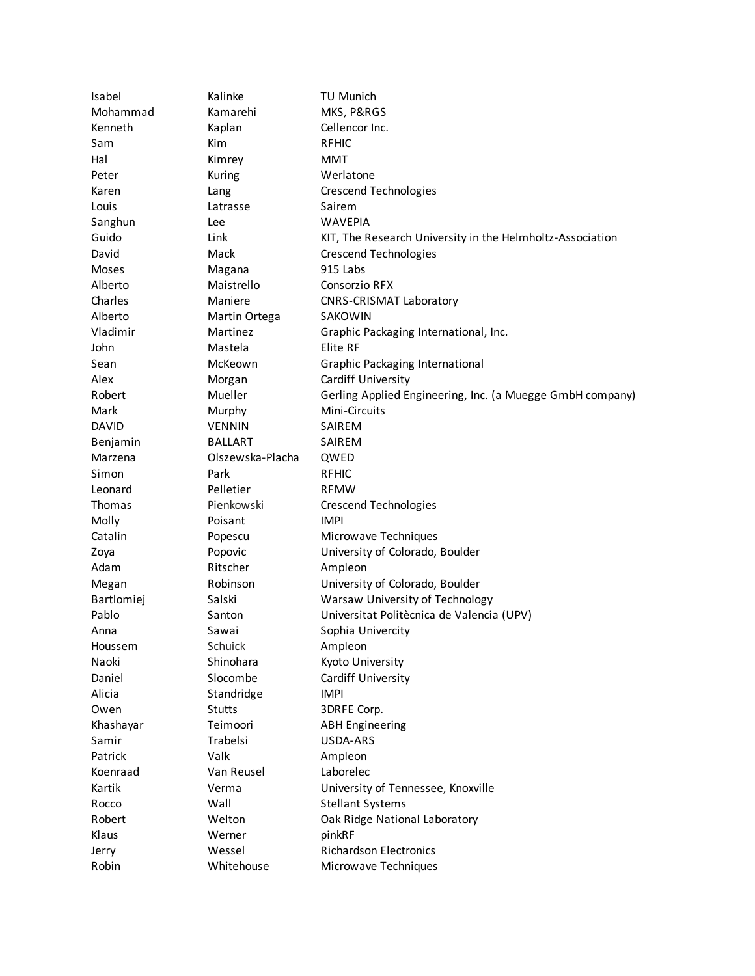| Isabel       | Kalinke          | TU Munich                                                 |
|--------------|------------------|-----------------------------------------------------------|
| Mohammad     | Kamarehi         | MKS, P&RGS                                                |
| Kenneth      | Kaplan           | Cellencor Inc.                                            |
| Sam          | Kim              | <b>RFHIC</b>                                              |
| Hal          | Kimrey           | MMT                                                       |
| Peter        | Kuring           | Werlatone                                                 |
| Karen        | Lang             | <b>Crescend Technologies</b>                              |
| Louis        | Latrasse         | Sairem                                                    |
| Sanghun      | Lee              | <b>WAVEPIA</b>                                            |
| Guido        | Link             | KIT, The Research University in the Helmholtz-Association |
| David        | Mack             | <b>Crescend Technologies</b>                              |
| Moses        | Magana           | 915 Labs                                                  |
| Alberto      | Maistrello       | Consorzio RFX                                             |
| Charles      | Maniere          | <b>CNRS-CRISMAT Laboratory</b>                            |
| Alberto      | Martin Ortega    | <b>SAKOWIN</b>                                            |
| Vladimir     | Martinez         | Graphic Packaging International, Inc.                     |
| John         | Mastela          | Elite RF                                                  |
| Sean         | McKeown          | Graphic Packaging International                           |
| Alex         | Morgan           | Cardiff University                                        |
| Robert       | Mueller          | Gerling Applied Engineering, Inc. (a Muegge GmbH company) |
| Mark         | Murphy           | Mini-Circuits                                             |
| <b>DAVID</b> | <b>VENNIN</b>    | SAIREM                                                    |
| Benjamin     | <b>BALLART</b>   | SAIREM                                                    |
| Marzena      | Olszewska-Placha | QWED                                                      |
| Simon        | Park             | <b>RFHIC</b>                                              |
| Leonard      | Pelletier        | <b>RFMW</b>                                               |
| Thomas       | Pienkowski       | <b>Crescend Technologies</b>                              |
| Molly        | Poisant          | <b>IMPI</b>                                               |
| Catalin      | Popescu          | Microwave Techniques                                      |
| Zoya         | Popovic          | University of Colorado, Boulder                           |
| Adam         | Ritscher         | Ampleon                                                   |
| Megan        | Robinson         | University of Colorado, Boulder                           |
| Bartlomiej   | Salski           | Warsaw University of Technology                           |
| Pablo        | Santon           | Universitat Politècnica de Valencia (UPV)                 |
| Anna         | Sawai            | Sophia Univercity                                         |
| Houssem      | Schuick          | Ampleon                                                   |
| Naoki        | Shinohara        | Kyoto University                                          |
| Daniel       | Slocombe         | Cardiff University                                        |
| Alicia       | Standridge       | <b>IMPI</b>                                               |
| Owen         | <b>Stutts</b>    | 3DRFE Corp.                                               |
| Khashayar    | Teimoori         | <b>ABH Engineering</b>                                    |
| Samir        | Trabelsi         | USDA-ARS                                                  |
| Patrick      | Valk             |                                                           |
| Koenraad     | Van Reusel       | Ampleon<br>Laborelec                                      |
|              |                  |                                                           |
| Kartik       | Verma            | University of Tennessee, Knoxville                        |
| Rocco        | Wall             | <b>Stellant Systems</b>                                   |
| Robert       | Welton           | Oak Ridge National Laboratory                             |
| Klaus        | Werner           | pinkRF                                                    |
| Jerry        | Wessel           | <b>Richardson Electronics</b>                             |
| Robin        | Whitehouse       | Microwave Techniques                                      |